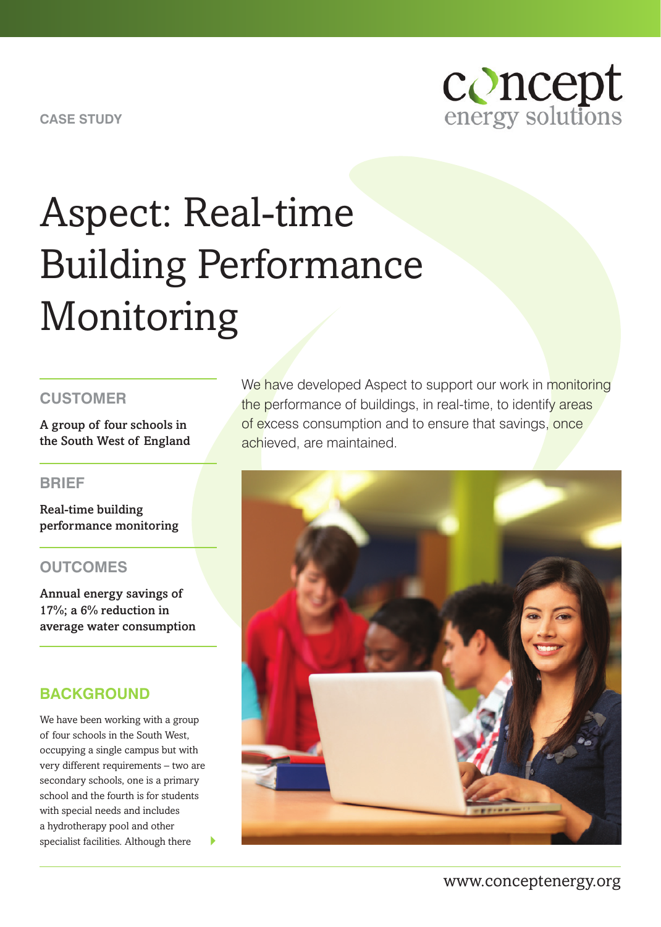**CASE STUDY**



# Aspect: Real-time Building Performance Monitoring

#### **CUSTOMER**

A group of four schools in the South West of England

#### **BRIEF**

Real-time building performance monitoring

#### **OUTCOMES**

Annual energy savings of 17%; a 6% reduction in average water consumption

#### **BACKGROUND**

We have been working with a group of four schools in the South West, occupying a single campus but with very different requirements – two are secondary schools, one is a primary school and the fourth is for students with special needs and includes a hydrotherapy pool and other specialist facilities. Although there

We have developed Aspect to support our work in monitoring the performance of buildings, in real-time, to identify areas of excess consumption and to ensure that savings, once achieved, are maintained.